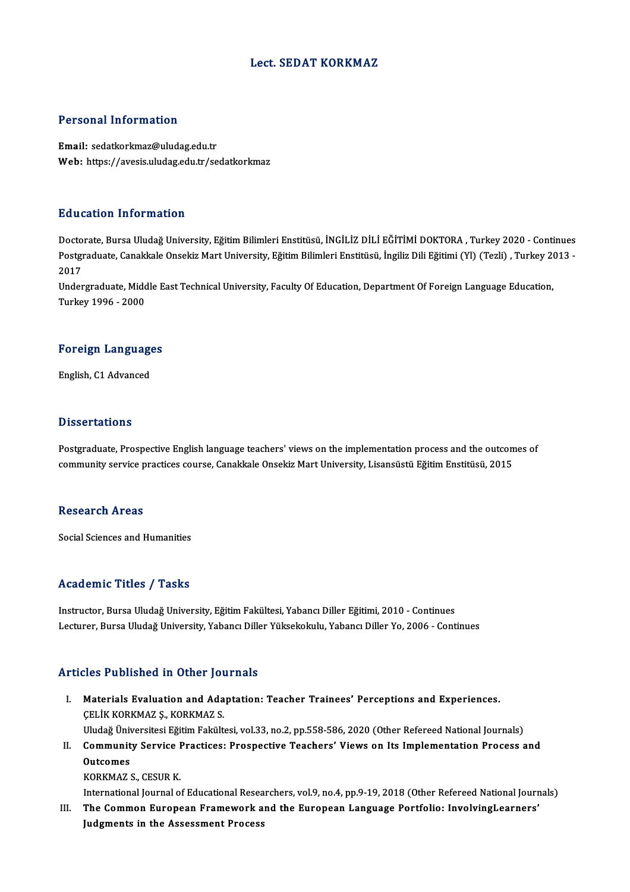### Lect. SEDAT KORKMAZ

#### Personal Information

Email: sedatkorkmaz@uludag.edu.tr Web: https://avesis.uludag.edu.tr/sedatkorkmaz

#### Education Information

<mark>Education Information</mark><br>Doctorate, Bursa Uludağ University, Eğitim Bilimleri Enstitüsü, İNGİLİZ DİLİ EĞİTİMİ DOKTORA , Turkey 2020 - Continues<br>Postaraduata Canakkala Onsekiz Mart University Eğitim Bilimleri Enstitüsü, İngi Pu u outron "nn'on mutron"<br>Doctorate, Bursa Uludağ University, Eğitim Bilimleri Enstitüsü, İNGİLİZ DİLİ EĞİTİMİ DOKTORA , Turkey 2020 - Continues<br>Postgraduate, Canakkale Onsekiz Mart University, Eğitim Bilimleri Enstitüsü, Docto<br>Postgi<br>2017<br>Under Postgraduate, Canakkale Onsekiz Mart University, Eğitim Bilimleri Enstitüsü, İngiliz Dili Eğitimi (Yl) (Tezli) , Turkey 20<br>2017<br>Undergraduate, Middle East Technical University, Faculty Of Education, Department Of Foreign L

2017<br>Undergraduate, Midc<br>Turkey 1996 - 2000

# Turkey 1996 - 2000<br>Foreign Languages F<mark>oreign Languag</mark>e<br>English, C1 Advanced

English, C1 Advanced<br>Dissertations

Postgraduate, Prospective English language teachers' views on the implementation process and the outcomes of community service practices course, Canakkale Onsekiz Mart University, Lisansüstü Eğitim Enstitüsü, 2015

#### Research Areas

Social Sciences and Humanities

#### Academic Titles / Tasks

Instructor, Bursa Uludağ University, Eğitim Fakültesi, Yabancı Diller Eğitimi, 2010 - Continues Lecturer, Bursa Uludağ University, Yabancı Diller Yüksekokulu, Yabancı Diller Yo, 2006 - Continues

### Articles Published in Other Journals

- Thicles Published in Other Journals<br>I. Materials Evaluation and Adaptation: Teacher Trainees' Perceptions and Experiences.<br>CELIV KORKM47.S. KORKM47.S. ÇELİK KORKMAZ Ş., KORKMAZ S.<br>Uludağ Üniversitesi Eğitim Fakültesi, vol.33, no.2, pp.558-586, 2020 (Other Refereed National Journals) Materials Evaluation and Adaptation: Teacher Trainees' Perceptions and Experiences.<br>ÇELİK KORKMAZ Ş., KORKMAZ S.<br>Uludağ Üniversitesi Eğitim Fakültesi, vol.33, no.2, pp.558-586, 2020 (Other Refereed National Journals)<br>Commu CELİK KORKMAZ Ş., KORKMAZ S.<br>Uludağ Üniversitesi Eğitim Fakültesi, vol.33, no.2, pp.558-586, 2020 (Other Refereed National Journals)<br>II. Community Service Practices: Prospective Teachers' Views on Its Implementation Pr
- Uludağ Üniv<br>Communit<br>Outcomes<br>KORKMAZ ( Community Service I<br>Outcomes<br>KORKMAZ S., CESUR K.<br>International Journal o Outcomes<br>KORKMAZ S., CESUR K.<br>International Journal of Educational Researchers, vol.9, no.4, pp.9-19, 2018 (Other Refereed National Journals)<br>The Common Eunonean Enamework and the Eunonean Languege Portfolio: InvolvingLean
	-
	-
- KORKMAZ S., CESUR K.<br>International Journal of Educational Researchers, vol.9, no.4, pp.9-19, 2018 (Other Refereed National Journ<br>III. The Common European Framework and the European Language Portfolio: InvolvingLearners'<br>In International Journal of Educational Resea<br>The Common European Framework a<br>Judgments in the Assessment Process